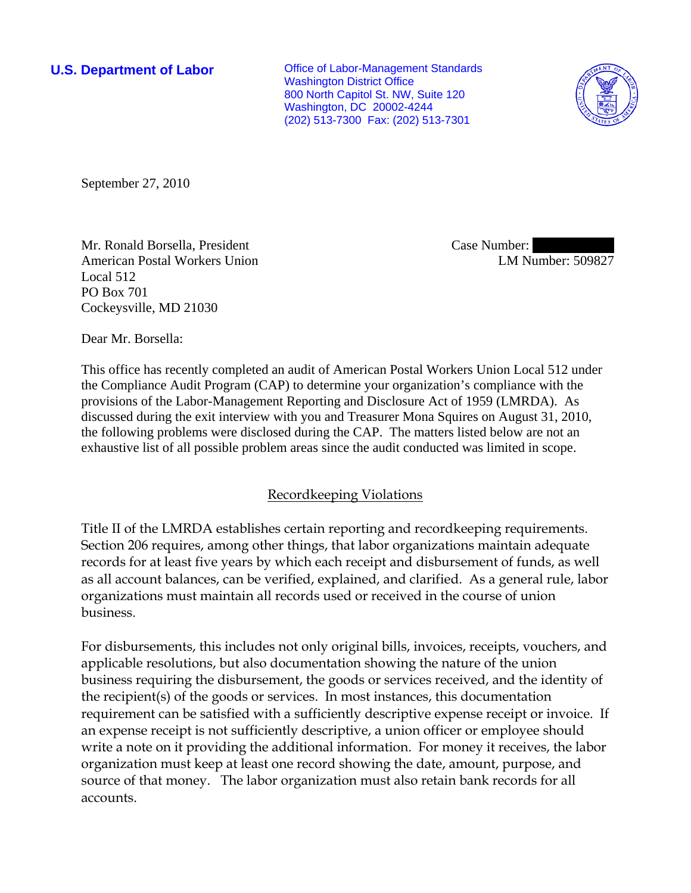**U.S. Department of Labor Conservative Conservative Conservative Conservative Conservative Conservative Conservative Conservative Conservative Conservative Conservative Conservative Conservative Conservative Conservative** Washington District Office 800 North Capitol St. NW, Suite 120 Washington, DC 20002-4244 (202) 513-7300 Fax: (202) 513-7301



September 27, 2010

Mr. Ronald Borsella, President American Postal Workers Union Local 512 PO Box 701 Cockeysville, MD 21030

Case Number: LM Number: 509827

Dear Mr. Borsella:

This office has recently completed an audit of American Postal Workers Union Local 512 under the Compliance Audit Program (CAP) to determine your organization's compliance with the provisions of the Labor-Management Reporting and Disclosure Act of 1959 (LMRDA). As discussed during the exit interview with you and Treasurer Mona Squires on August 31, 2010, the following problems were disclosed during the CAP. The matters listed below are not an exhaustive list of all possible problem areas since the audit conducted was limited in scope.

# Recordkeeping Violations

Title II of the LMRDA establishes certain reporting and recordkeeping requirements. Section 206 requires, among other things, that labor organizations maintain adequate records for at least five years by which each receipt and disbursement of funds, as well as all account balances, can be verified, explained, and clarified. As a general rule, labor organizations must maintain all records used or received in the course of union business.

For disbursements, this includes not only original bills, invoices, receipts, vouchers, and applicable resolutions, but also documentation showing the nature of the union business requiring the disbursement, the goods or services received, and the identity of the recipient(s) of the goods or services. In most instances, this documentation requirement can be satisfied with a sufficiently descriptive expense receipt or invoice. If an expense receipt is not sufficiently descriptive, a union officer or employee should write a note on it providing the additional information. For money it receives, the labor organization must keep at least one record showing the date, amount, purpose, and source of that money. The labor organization must also retain bank records for all accounts.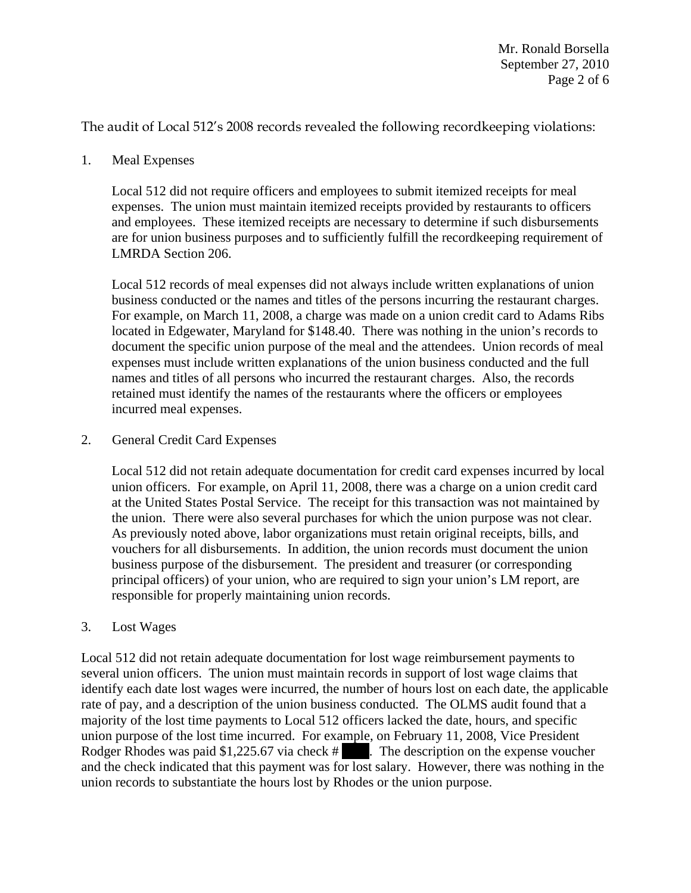The audit of Local 512's 2008 records revealed the following recordkeeping violations:

1. Meal Expenses

Local 512 did not require officers and employees to submit itemized receipts for meal expenses. The union must maintain itemized receipts provided by restaurants to officers and employees. These itemized receipts are necessary to determine if such disbursements are for union business purposes and to sufficiently fulfill the recordkeeping requirement of LMRDA Section 206.

Local 512 records of meal expenses did not always include written explanations of union business conducted or the names and titles of the persons incurring the restaurant charges. For example, on March 11, 2008, a charge was made on a union credit card to Adams Ribs located in Edgewater, Maryland for \$148.40. There was nothing in the union's records to document the specific union purpose of the meal and the attendees. Union records of meal expenses must include written explanations of the union business conducted and the full names and titles of all persons who incurred the restaurant charges. Also, the records retained must identify the names of the restaurants where the officers or employees incurred meal expenses.

2. General Credit Card Expenses

Local 512 did not retain adequate documentation for credit card expenses incurred by local union officers. For example, on April 11, 2008, there was a charge on a union credit card at the United States Postal Service. The receipt for this transaction was not maintained by the union. There were also several purchases for which the union purpose was not clear. As previously noted above, labor organizations must retain original receipts, bills, and vouchers for all disbursements. In addition, the union records must document the union business purpose of the disbursement. The president and treasurer (or corresponding principal officers) of your union, who are required to sign your union's LM report, are responsible for properly maintaining union records.

3. Lost Wages

Local 512 did not retain adequate documentation for lost wage reimbursement payments to several union officers. The union must maintain records in support of lost wage claims that identify each date lost wages were incurred, the number of hours lost on each date, the applicable rate of pay, and a description of the union business conducted. The OLMS audit found that a majority of the lost time payments to Local 512 officers lacked the date, hours, and specific union purpose of the lost time incurred. For example, on February 11, 2008, Vice President Rodger Rhodes was paid \$1,225.67 via check # ||||||||||. The description on the expense voucher and the check indicated that this payment was for lost salary. However, there was nothing in the union records to substantiate the hours lost by Rhodes or the union purpose.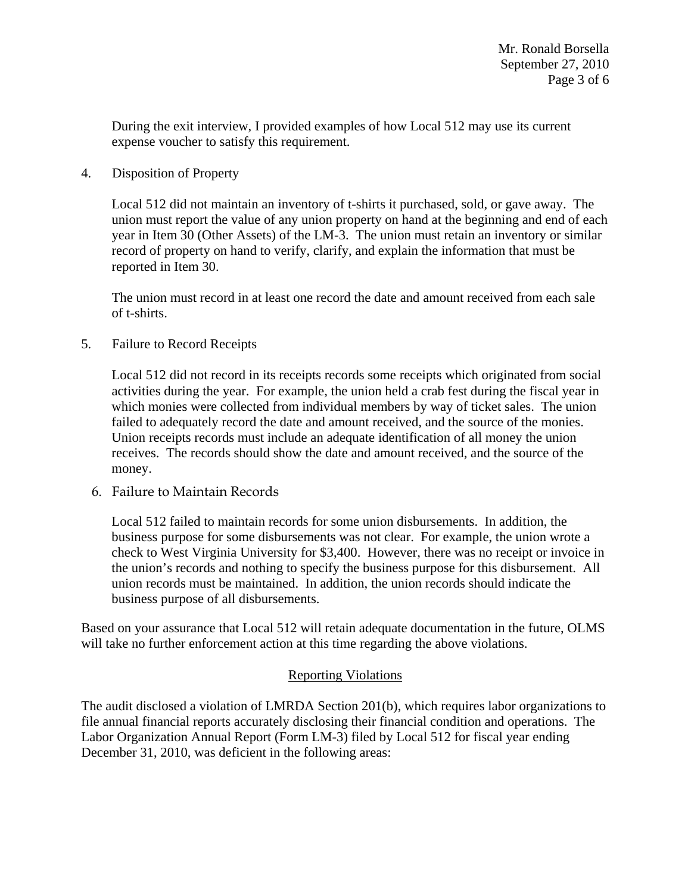During the exit interview, I provided examples of how Local 512 may use its current expense voucher to satisfy this requirement.

4. Disposition of Property

Local 512 did not maintain an inventory of t-shirts it purchased, sold, or gave away. The union must report the value of any union property on hand at the beginning and end of each year in Item 30 (Other Assets) of the LM-3. The union must retain an inventory or similar record of property on hand to verify, clarify, and explain the information that must be reported in Item 30.

The union must record in at least one record the date and amount received from each sale of t-shirts.

5. Failure to Record Receipts

Local 512 did not record in its receipts records some receipts which originated from social activities during the year. For example, the union held a crab fest during the fiscal year in which monies were collected from individual members by way of ticket sales. The union failed to adequately record the date and amount received, and the source of the monies. Union receipts records must include an adequate identification of all money the union receives. The records should show the date and amount received, and the source of the money.

6. Failure to Maintain Records

Local 512 failed to maintain records for some union disbursements. In addition, the business purpose for some disbursements was not clear. For example, the union wrote a check to West Virginia University for \$3,400. However, there was no receipt or invoice in the union's records and nothing to specify the business purpose for this disbursement. All union records must be maintained. In addition, the union records should indicate the business purpose of all disbursements.

Based on your assurance that Local 512 will retain adequate documentation in the future, OLMS will take no further enforcement action at this time regarding the above violations.

## Reporting Violations

The audit disclosed a violation of LMRDA Section 201(b), which requires labor organizations to file annual financial reports accurately disclosing their financial condition and operations. The Labor Organization Annual Report (Form LM-3) filed by Local 512 for fiscal year ending December 31, 2010, was deficient in the following areas: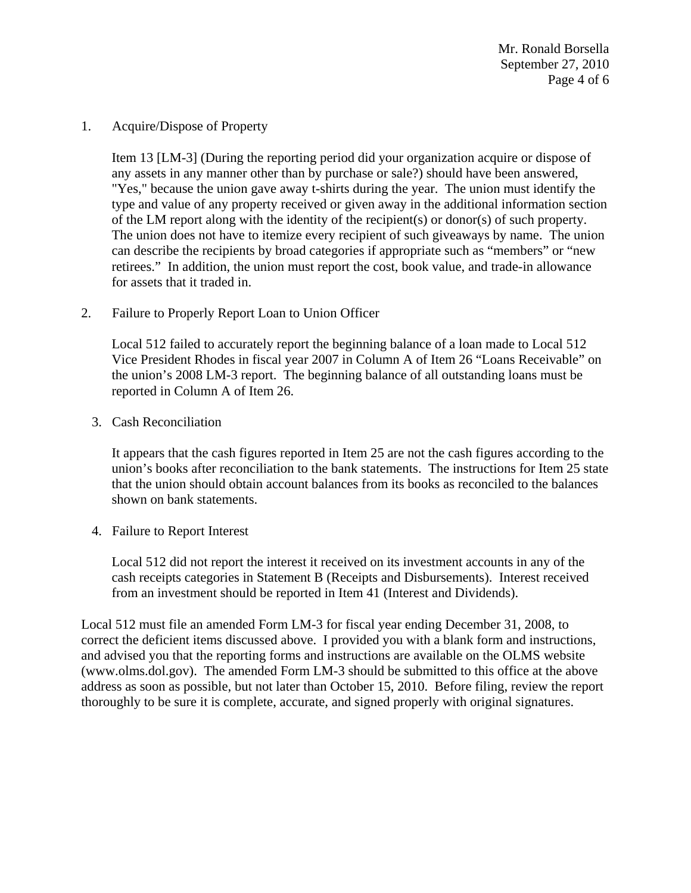Mr. Ronald Borsella September 27, 2010 Page 4 of 6

1. Acquire/Dispose of Property

Item 13 [LM-3] (During the reporting period did your organization acquire or dispose of any assets in any manner other than by purchase or sale?) should have been answered, "Yes," because the union gave away t-shirts during the year. The union must identify the type and value of any property received or given away in the additional information section of the LM report along with the identity of the recipient(s) or donor(s) of such property. The union does not have to itemize every recipient of such giveaways by name. The union can describe the recipients by broad categories if appropriate such as "members" or "new retirees." In addition, the union must report the cost, book value, and trade-in allowance for assets that it traded in.

2. Failure to Properly Report Loan to Union Officer

Local 512 failed to accurately report the beginning balance of a loan made to Local 512 Vice President Rhodes in fiscal year 2007 in Column A of Item 26 "Loans Receivable" on the union's 2008 LM-3 report. The beginning balance of all outstanding loans must be reported in Column A of Item 26.

3. Cash Reconciliation

It appears that the cash figures reported in Item 25 are not the cash figures according to the union's books after reconciliation to the bank statements. The instructions for Item 25 state that the union should obtain account balances from its books as reconciled to the balances shown on bank statements.

4. Failure to Report Interest

Local 512 did not report the interest it received on its investment accounts in any of the cash receipts categories in Statement B (Receipts and Disbursements). Interest received from an investment should be reported in Item 41 (Interest and Dividends).

Local 512 must file an amended Form LM-3 for fiscal year ending December 31, 2008, to correct the deficient items discussed above. I provided you with a blank form and instructions, and advised you that the reporting forms and instructions are available on the OLMS website (www.olms.dol.gov). The amended Form LM-3 should be submitted to this office at the above address as soon as possible, but not later than October 15, 2010. Before filing, review the report thoroughly to be sure it is complete, accurate, and signed properly with original signatures.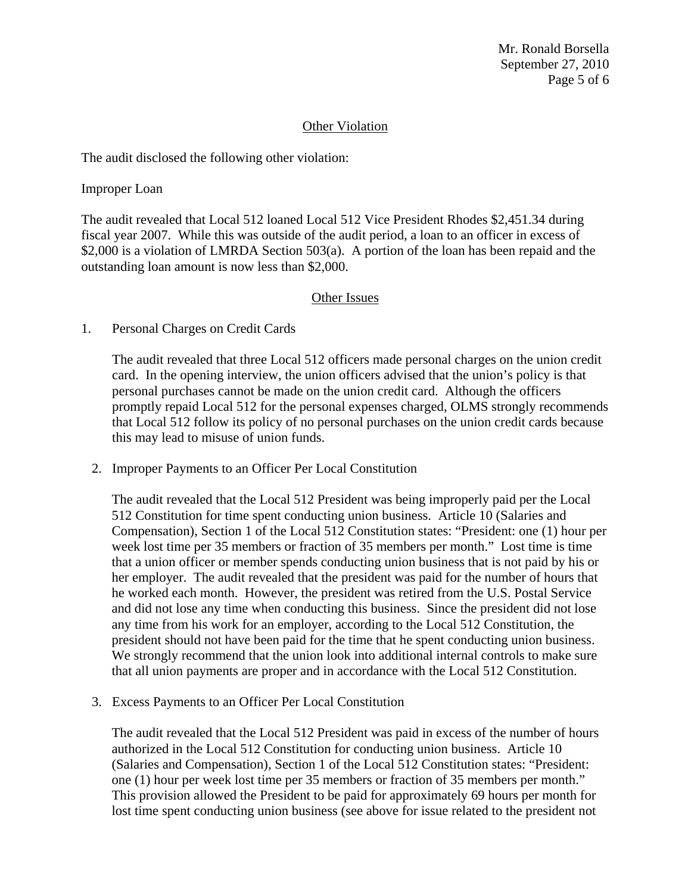Mr. Ronald Borsella September 27, 2010 Page 5 of 6

### Other Violation

The audit disclosed the following other violation:

Improper Loan

The audit revealed that Local 512 loaned Local 512 Vice President Rhodes \$2,451.34 during fiscal year 2007. While this was outside of the audit period, a loan to an officer in excess of \$2,000 is a violation of LMRDA Section 503(a). A portion of the loan has been repaid and the outstanding loan amount is now less than \$2,000.

#### Other Issues

1. Personal Charges on Credit Cards

The audit revealed that three Local 512 officers made personal charges on the union credit card. In the opening interview, the union officers advised that the union's policy is that personal purchases cannot be made on the union credit card. Although the officers promptly repaid Local 512 for the personal expenses charged, OLMS strongly recommends that Local 512 follow its policy of no personal purchases on the union credit cards because this may lead to misuse of union funds.

2. Improper Payments to an Officer Per Local Constitution

The audit revealed that the Local 512 President was being improperly paid per the Local 512 Constitution for time spent conducting union business. Article 10 (Salaries and Compensation), Section 1 of the Local 512 Constitution states: "President: one (1) hour per week lost time per 35 members or fraction of 35 members per month." Lost time is time that a union officer or member spends conducting union business that is not paid by his or her employer. The audit revealed that the president was paid for the number of hours that he worked each month. However, the president was retired from the U.S. Postal Service and did not lose any time when conducting this business. Since the president did not lose any time from his work for an employer, according to the Local 512 Constitution, the president should not have been paid for the time that he spent conducting union business. We strongly recommend that the union look into additional internal controls to make sure that all union payments are proper and in accordance with the Local 512 Constitution.

3. Excess Payments to an Officer Per Local Constitution

The audit revealed that the Local 512 President was paid in excess of the number of hours authorized in the Local 512 Constitution for conducting union business. Article 10 (Salaries and Compensation), Section 1 of the Local 512 Constitution states: "President: one (1) hour per week lost time per 35 members or fraction of 35 members per month." This provision allowed the President to be paid for approximately 69 hours per month for lost time spent conducting union business (see above for issue related to the president not